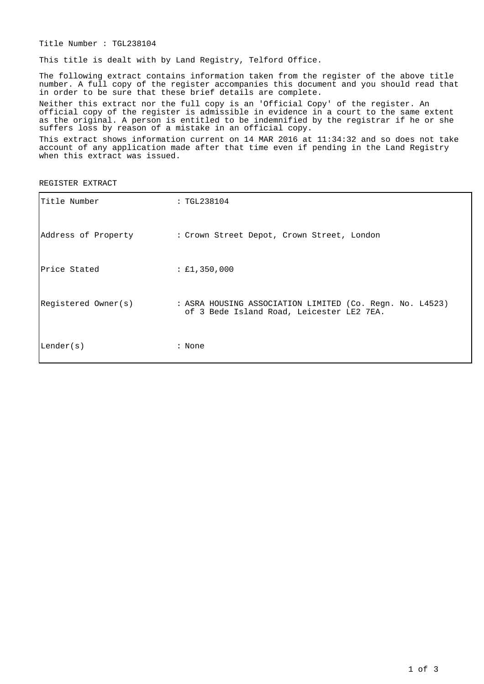Title Number : TGL238104

This title is dealt with by Land Registry, Telford Office.

The following extract contains information taken from the register of the above title number. A full copy of the register accompanies this document and you should read that in order to be sure that these brief details are complete.

Neither this extract nor the full copy is an 'Official Copy' of the register. An official copy of the register is admissible in evidence in a court to the same extent as the original. A person is entitled to be indemnified by the registrar if he or she suffers loss by reason of a mistake in an official copy.

This extract shows information current on 14 MAR 2016 at 11:34:32 and so does not take account of any application made after that time even if pending in the Land Registry when this extract was issued.

REGISTER EXTRACT

| Title Number        | : TGL238104                                                                                           |
|---------------------|-------------------------------------------------------------------------------------------------------|
|                     | Address of Property : Crown Street Depot, Crown Street, London                                        |
| Price Stated        | : £1,350,000                                                                                          |
| Registered Owner(s) | : ASRA HOUSING ASSOCIATION LIMITED (Co. Regn. No. L4523)<br>of 3 Bede Island Road, Leicester LE2 7EA. |
| Lender(s)           | : None                                                                                                |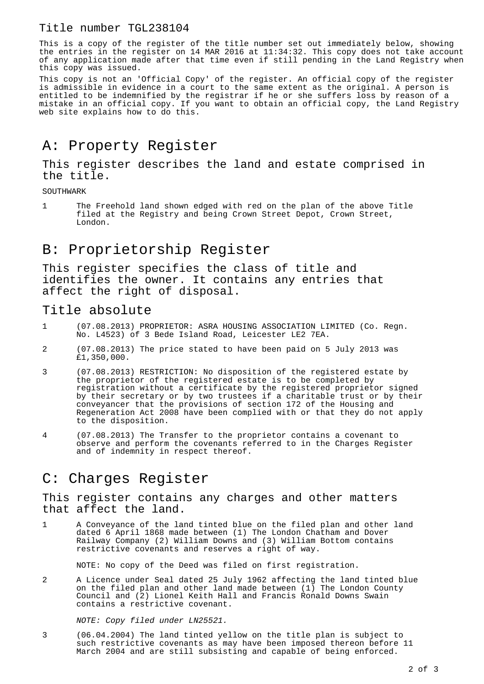#### Title number TGL238104

This is a copy of the register of the title number set out immediately below, showing the entries in the register on 14 MAR 2016 at 11:34:32. This copy does not take account of any application made after that time even if still pending in the Land Registry when this copy was issued.

This copy is not an 'Official Copy' of the register. An official copy of the register is admissible in evidence in a court to the same extent as the original. A person is entitled to be indemnified by the registrar if he or she suffers loss by reason of a mistake in an official copy. If you want to obtain an official copy, the Land Registry web site explains how to do this.

## A: Property Register

This register describes the land and estate comprised in the title.

SOUTHWARK

1 The Freehold land shown edged with red on the plan of the above Title filed at the Registry and being Crown Street Depot, Crown Street, London.

## B: Proprietorship Register

This register specifies the class of title and identifies the owner. It contains any entries that affect the right of disposal.

### Title absolute

- 1 (07.08.2013) PROPRIETOR: ASRA HOUSING ASSOCIATION LIMITED (Co. Regn. No. L4523) of 3 Bede Island Road, Leicester LE2 7EA.
- 2 (07.08.2013) The price stated to have been paid on 5 July 2013 was £1,350,000.
- 3 (07.08.2013) RESTRICTION: No disposition of the registered estate by the proprietor of the registered estate is to be completed by registration without a certificate by the registered proprietor signed by their secretary or by two trustees if a charitable trust or by their conveyancer that the provisions of section 172 of the Housing and Regeneration Act 2008 have been complied with or that they do not apply to the disposition.
- 4 (07.08.2013) The Transfer to the proprietor contains a covenant to observe and perform the covenants referred to in the Charges Register and of indemnity in respect thereof.

## C: Charges Register

This register contains any charges and other matters that affect the land.

1 A Conveyance of the land tinted blue on the filed plan and other land dated 6 April 1868 made between (1) The London Chatham and Dover Railway Company (2) William Downs and (3) William Bottom contains restrictive covenants and reserves a right of way.

NOTE: No copy of the Deed was filed on first registration.

2 A Licence under Seal dated 25 July 1962 affecting the land tinted blue on the filed plan and other land made between  $(1)$  The London County Council and (2) Lionel Keith Hall and Francis Ronald Downs Swain contains a restrictive covenant.

NOTE: Copy filed under LN25521.

3 (06.04.2004) The land tinted yellow on the title plan is subject to such restrictive covenants as may have been imposed thereon before 11 March 2004 and are still subsisting and capable of being enforced.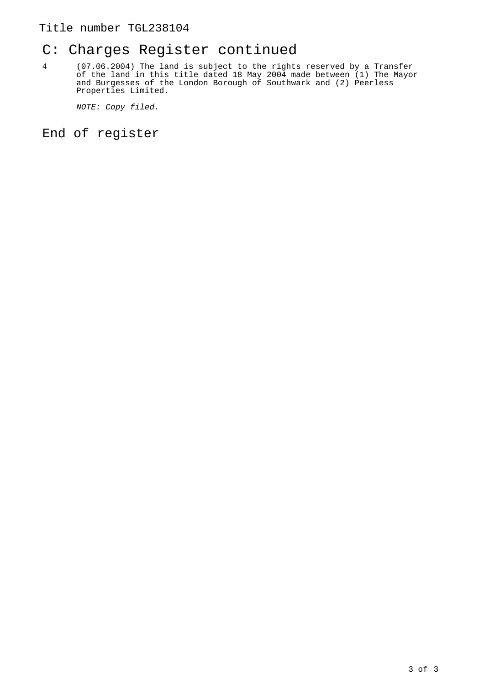### Title number TGL238104

## C: Charges Register continued

4 (07.06.2004) The land is subject to the rights reserved by a Transfer of the land in this title dated 18 May 2004 made between (1) The Mayor and Burgesses of the London Borough of Southwark and (2) Peerless Properties Limited.

NOTE: Copy filed.

End of register